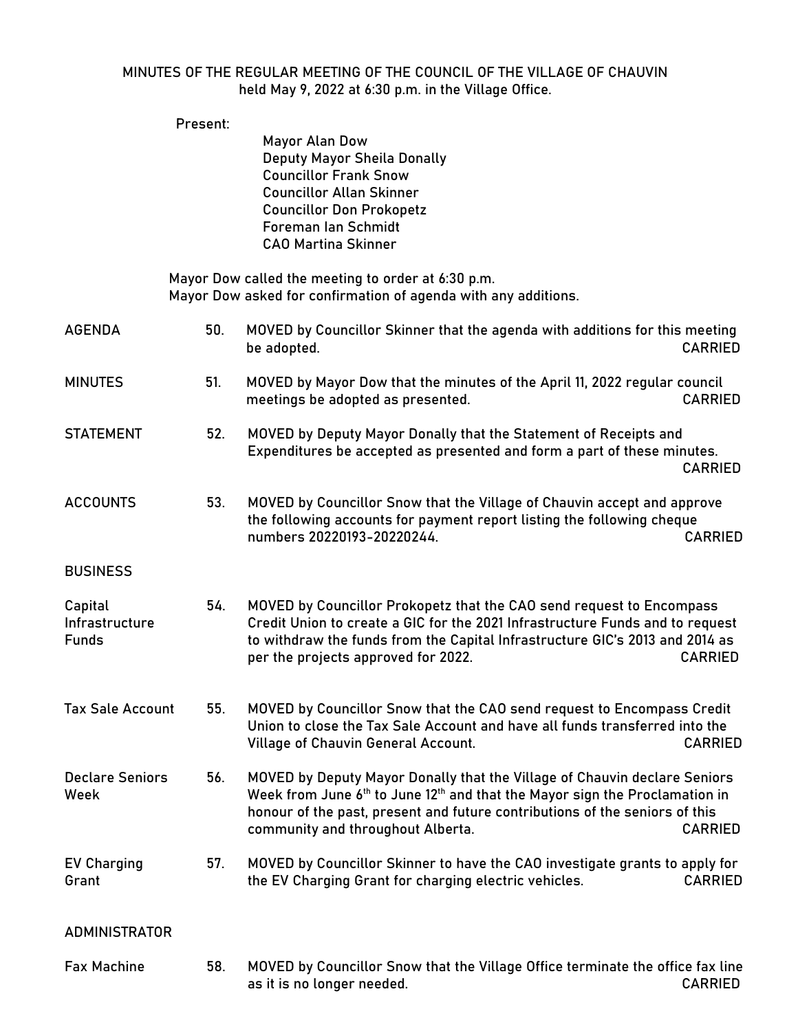## MINUTES OF THE REGULAR MEETING OF THE COUNCIL OF THE VILLAGE OF CHAUVIN held May 9, 2022 at 6:30 p.m. in the Village Office.

|                                           | Present: |                                                                                                                                                                                                                                                                                                      |                |
|-------------------------------------------|----------|------------------------------------------------------------------------------------------------------------------------------------------------------------------------------------------------------------------------------------------------------------------------------------------------------|----------------|
|                                           |          | Mayor Alan Dow<br><b>Deputy Mayor Sheila Donally</b><br><b>Councillor Frank Snow</b><br><b>Councillor Allan Skinner</b><br><b>Councillor Don Prokopetz</b><br><b>Foreman lan Schmidt</b><br><b>CAO Martina Skinner</b>                                                                               |                |
|                                           |          | Mayor Dow called the meeting to order at 6:30 p.m.<br>Mayor Dow asked for confirmation of agenda with any additions.                                                                                                                                                                                 |                |
| AGENDA                                    | 50.      | MOVED by Councillor Skinner that the agenda with additions for this meeting<br>be adopted.                                                                                                                                                                                                           | <b>CARRIED</b> |
| <b>MINUTES</b>                            | 51.      | MOVED by Mayor Dow that the minutes of the April 11, 2022 regular council<br>meetings be adopted as presented.                                                                                                                                                                                       | <b>CARRIED</b> |
| <b>STATEMENT</b>                          | 52.      | MOVED by Deputy Mayor Donally that the Statement of Receipts and<br>Expenditures be accepted as presented and form a part of these minutes.                                                                                                                                                          | <b>CARRIED</b> |
| <b>ACCOUNTS</b>                           | 53.      | MOVED by Councillor Snow that the Village of Chauvin accept and approve<br>the following accounts for payment report listing the following cheque<br>numbers 20220193-20220244.                                                                                                                      | <b>CARRIED</b> |
| <b>BUSINESS</b>                           |          |                                                                                                                                                                                                                                                                                                      |                |
| Capital<br>Infrastructure<br><b>Funds</b> | 54.      | MOVED by Councillor Prokopetz that the CAO send request to Encompass<br>Credit Union to create a GIC for the 2021 Infrastructure Funds and to request<br>to withdraw the funds from the Capital Infrastructure GIC's 2013 and 2014 as<br>per the projects approved for 2022.                         | <b>CARRIED</b> |
| <b>Tax Sale Account</b>                   | 55.      | MOVED by Councillor Snow that the CAO send request to Encompass Credit<br>Union to close the Tax Sale Account and have all funds transferred into the<br>Village of Chauvin General Account.                                                                                                         | <b>CARRIED</b> |
| <b>Declare Seniors</b><br>Week            | 56.      | MOVED by Deputy Mayor Donally that the Village of Chauvin declare Seniors<br>Week from June 6 <sup>th</sup> to June 12 <sup>th</sup> and that the Mayor sign the Proclamation in<br>honour of the past, present and future contributions of the seniors of this<br>community and throughout Alberta. | <b>CARRIED</b> |
| <b>EV Charging</b><br>Grant               | 57.      | MOVED by Councillor Skinner to have the CAO investigate grants to apply for<br>the EV Charging Grant for charging electric vehicles.                                                                                                                                                                 | <b>CARRIED</b> |
| ADMINISTRATOR                             |          |                                                                                                                                                                                                                                                                                                      |                |
| <b>Fax Machine</b>                        | 58.      | MOVED by Councillor Snow that the Village Office terminate the office fax line<br>as it is no longer needed.                                                                                                                                                                                         | <b>CARRIED</b> |